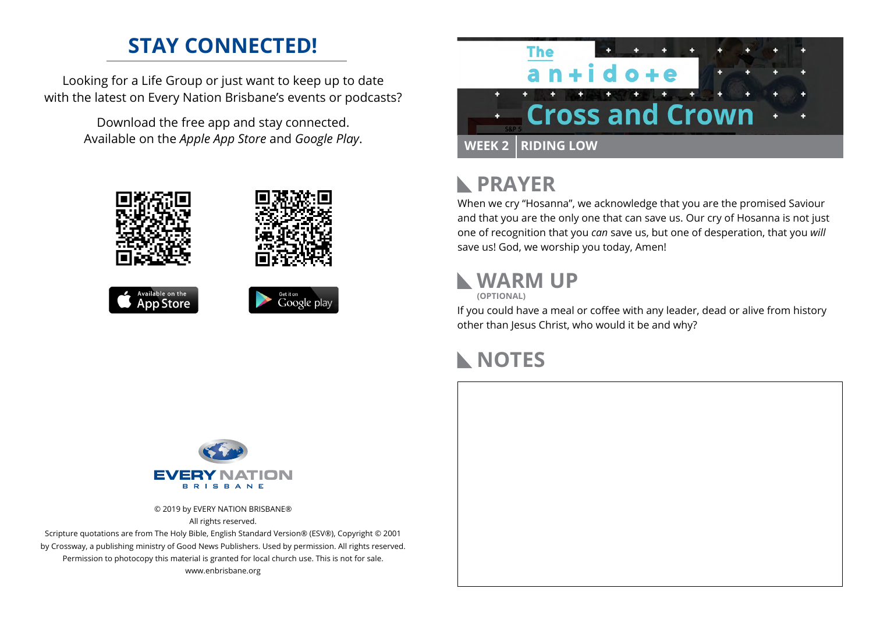### **STAY CONNECTED!**

Looking for a Life Group or just want to keep up to date with the latest on Every Nation Brisbane's events or podcasts?

> Download the free app and stay connected. Available on the *Apple App Store* and *Google Play*.





#### **PRAYER**  $\mathbb{R}$

When we cry "Hosanna", we acknowledge that you are the promised Saviour and that you are the only one that can save us. Our cry of Hosanna is not just one of recognition that you *can* save us, but one of desperation, that you *will* save us! God, we worship you today, Amen!

#### **WARM UP**

**(OPTIONAL)**

If you could have a meal or coffee with any leader, dead or alive from history other than Jesus Christ, who would it be and why?

# **NOTES**



© 2019 by EVERY NATION BRISBANE® All rights reserved.

Scripture quotations are from The Holy Bible, English Standard Version® (ESV®), Copyright © 2001 by Crossway, a publishing ministry of Good News Publishers. Used by permission. All rights reserved. Permission to photocopy this material is granted for local church use. This is not for sale. www.enbrisbane.org